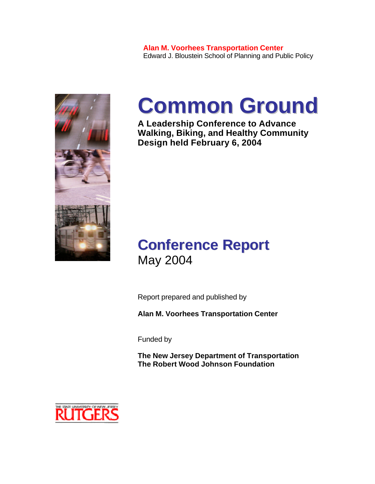

# **Common Ground**

**A Leadership Conference to Advance Walking, Biking, and Healthy Community Design held February 6, 2004**

### **Conference Report** May 2004

Report prepared and published by

**Alan M. Voorhees Transportation Center**

Funded by

**The New Jersey Department of Transportation The Robert Wood Johnson Foundation**

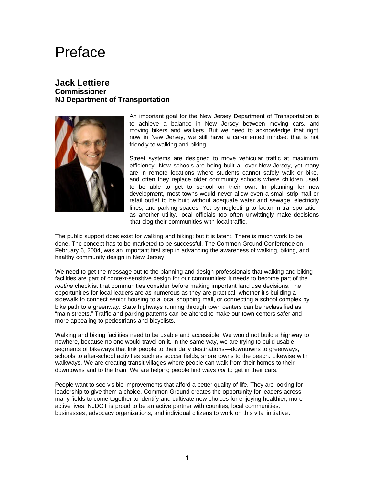### Preface

#### **Jack Lettiere Commissioner NJ Department of Transportation**



An important goal for the New Jersey Department of Transportation is to achieve a balance in New Jersey between moving cars, and moving bikers and walkers. But we need to acknowledge that right now in New Jersey, we still have a car-oriented mindset that is not friendly to walking and biking.

Street systems are designed to move vehicular traffic at maximum efficiency. New schools are being built all over New Jersey, yet many are in remote locations where students cannot safely walk or bike, and often they replace older community schools where children used to be able to get to school on their own. In planning for new development, most towns would never allow even a small strip mall or retail outlet to be built without adequate water and sewage, electricity lines, and parking spaces. Yet by neglecting to factor in transportation as another utility, local officials too often unwittingly make decisions that clog their communities with local traffic.

The public support does exist for walking and biking; but it is latent. There is much work to be done. The concept has to be marketed to be successful. The Common Ground Conference on February 6, 2004, was an important first step in advancing the awareness of walking, biking, and healthy community design in New Jersey.

We need to get the message out to the planning and design professionals that walking and biking facilities are part of context-sensitive design for our communities; it needs to become part of the *routine* checklist that communities consider before making important land use decisions. The opportunities for local leaders are as numerous as they are practical, whether it's building a sidewalk to connect senior housing to a local shopping mall, or connecting a school complex by bike path to a greenway. State highways running through town centers can be reclassified as "main streets." Traffic and parking patterns can be altered to make our town centers safer and more appealing to pedestrians and bicyclists.

Walking and biking facilities need to be usable and accessible. We would not build a highway to nowhere, because no one would travel on it. In the same way, we are trying to build usable segments of bikeways that link people to their daily destinations—downtowns to greenways, schools to after-school activities such as soccer fields, shore towns to the beach. Likewise with walkways. We are creating transit villages where people can walk from their homes to their downtowns and to the train. We are helping people find ways *not* to get in their cars.

People want to see visible improvements that afford a better quality of life. They are looking for leadership to give them a choice. Common Ground creates the opportunity for leaders across many fields to come together to identify and cultivate new choices for enjoying healthier, more active lives. NJDOT is proud to be an active partner with counties, local communities, businesses, advocacy organizations, and individual citizens to work on this vital initiative.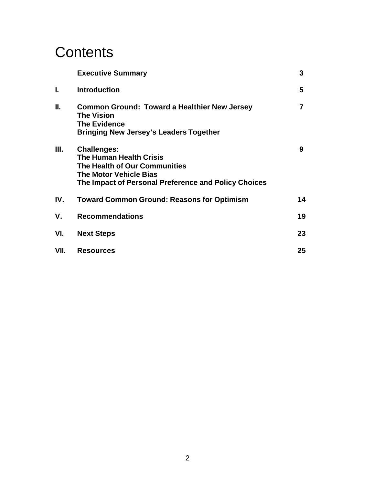### **Contents**

|      | <b>Executive Summary</b>                                                                                                                                                       | 3  |
|------|--------------------------------------------------------------------------------------------------------------------------------------------------------------------------------|----|
| I.   | <b>Introduction</b>                                                                                                                                                            | 5  |
| II.  | <b>Common Ground: Toward a Healthier New Jersey</b><br><b>The Vision</b><br><b>The Evidence</b><br>Bringing New Jersey's Leaders Together                                      | 7  |
| Ш.   | <b>Challenges:</b><br><b>The Human Health Crisis</b><br>The Health of Our Communities<br><b>The Motor Vehicle Bias</b><br>The Impact of Personal Preference and Policy Choices | 9  |
| IV.  | <b>Toward Common Ground: Reasons for Optimism</b>                                                                                                                              | 14 |
| ۷.   | <b>Recommendations</b>                                                                                                                                                         | 19 |
| VI.  | <b>Next Steps</b>                                                                                                                                                              | 23 |
| VII. | <b>Resources</b>                                                                                                                                                               | 25 |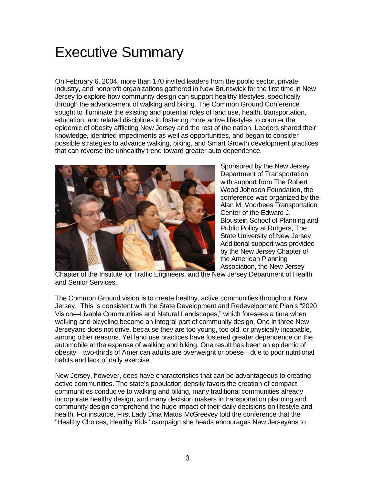### Executive Summary

On February 6, 2004, more than 170 invited leaders from the public sector, private industry, and nonprofit organizations gathered in New Brunswick for the first time in New Jersey to explore how community design can support healthy lifestyles, specifically through the advancement of walking and biking. The Common Ground Conference sought to illuminate the existing and potential roles of land use, health, transportation, education, and related disciplines in fostering more active lifestyles to counter the epidemic of obesity afflicting New Jersey and the rest of the nation. Leaders shared their knowledge, identified impediments as well as opportunities, and began to consider possible strategies to advance walking, biking, and Smart Growth development practices that can reverse the unhealthy trend toward greater auto dependence.



Sponsored by the New Jersey Department of Transportation with support from The Robert Wood Johnson Foundation, the conference was organized by the Alan M. Voorhees Transportation Center of the Edward J. Bloustein School of Planning and Public Policy at Rutgers, The State University of New Jersey. Additional support was provided by the New Jersey Chapter of the American Planning Association, the New Jersey

Chapter of the Institute for Traffic Engineers, and the New Jersey Department of Health and Senior Services.

The Common Ground vision is to create healthy, active communities throughout New Jersey. This is consistent with the State Development and Redevelopment Plan's "2020 Vision—Livable Communities and Natural Landscapes," which foresees a time when walking and bicycling become an integral part of community design. One in three New Jerseyans does not drive, because they are too young, too old, or physically incapable, among other reasons. Yet land use practices have fostered greater dependence on the automobile at the expense of walking and biking. One result has been an epidemic of obesity—two-thirds of American adults are overweight or obese—due to poor nutritional habits and lack of daily exercise.

New Jersey, however, does have characteristics that can be advantageous to creating active communities. The state's population density favors the creation of compact communities conducive to walking and biking, many traditional communities already incorporate healthy design, and many decision makers in transportation planning and community design comprehend the huge impact of their daily decisions on lifestyle and health. For instance, First Lady Dina Matos McGreevey told the conference that the "Healthy Choices, Healthy Kids" campaign she heads encourages New Jerseyans to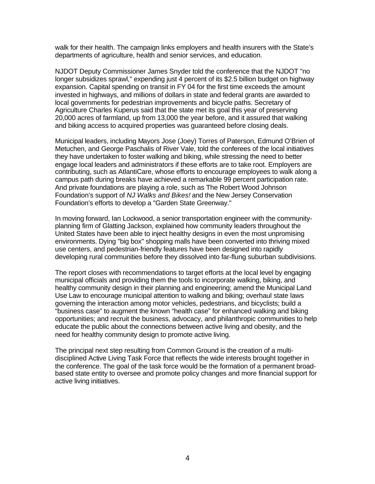walk for their health. The campaign links employers and health insurers with the State's departments of agriculture, health and senior services, and education.

NJDOT Deputy Commissioner James Snyder told the conference that the NJDOT "no longer subsidizes sprawl," expending just 4 percent of its \$2.5 billion budget on highway expansion. Capital spending on transit in FY 04 for the first time exceeds the amount invested in highways, and millions of dollars in state and federal grants are awarded to local governments for pedestrian improvements and bicycle paths. Secretary of Agriculture Charles Kuperus said that the state met its goal this year of preserving 20,000 acres of farmland, up from 13,000 the year before, and it assured that walking and biking access to acquired properties was guaranteed before closing deals.

Municipal leaders, including Mayors Jose (Joey) Torres of Paterson, Edmund O'Brien of Metuchen, and George Paschalis of River Vale, told the conferees of the local initiatives they have undertaken to foster walking and biking, while stressing the need to better engage local leaders and administrators if these efforts are to take root. Employers are contributing, such as AtlantiCare, whose efforts to encourage employees to walk along a campus path during breaks have achieved a remarkable 99 percent participation rate. And private foundations are playing a role, such as The Robert Wood Johnson Foundation's support of *NJ Walks and Bikes!* and the New Jersey Conservation Foundation's efforts to develop a "Garden State Greenway."

In moving forward, Ian Lockwood, a senior transportation engineer with the communityplanning firm of Glatting Jackson, explained how community leaders throughout the United States have been able to inject healthy designs in even the most unpromising environments. Dying "big box" shopping malls have been converted into thriving mixed use centers, and pedestrian-friendly features have been designed into rapidly developing rural communities before they dissolved into far-flung suburban subdivisions.

The report closes with recommendations to target efforts at the local level by engaging municipal officials and providing them the tools to incorporate walking, biking, and healthy community design in their planning and engineering; amend the Municipal Land Use Law to encourage municipal attention to walking and biking; overhaul state laws governing the interaction among motor vehicles, pedestrians, and bicyclists; build a "business case" to augment the known "health case" for enhanced walking and biking opportunities; and recruit the business, advocacy, and philanthropic communities to help educate the public about the connections between active living and obesity, and the need for healthy community design to promote active living.

The principal next step resulting from Common Ground is the creation of a multidisciplined Active Living Task Force that reflects the wide interests brought together in the conference. The goal of the task force would be the formation of a permanent broadbased state entity to oversee and promote policy changes and more financial support for active living initiatives.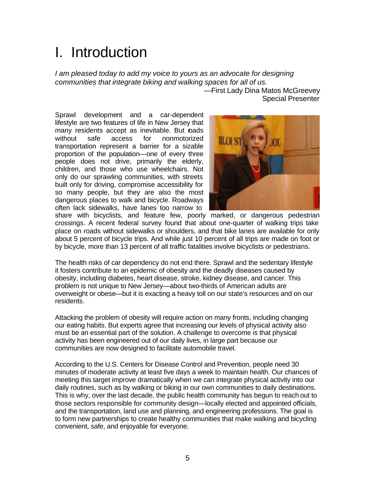### I. Introduction

*I am pleased today to add my voice to yours as an advocate for designing communities that integrate biking and walking spaces for all of us.* —First Lady Dina Matos McGreevey

Sprawl development and a car-dependent lifestyle are two features of life in New Jersey that many residents accept as inevitable. But roads without safe access for nonmotorized transportation represent a barrier for a sizable proportion of the population—one of every three people does not drive, primarily the elderly, children, and those who use wheelchairs. Not only do our sprawling communities, with streets built only for driving, compromise accessibility for so many people, but they are also the most dangerous places to walk and bicycle. Roadways often lack sidewalks, have lanes too narrow to



Special Presenter

share with bicyclists, and feature few, poorly marked, or dangerous pedestrian crossings. A recent federal survey found that about one-quarter of walking trips take place on roads without sidewalks or shoulders, and that bike lanes are available for only about 5 percent of bicycle trips. And while just 10 percent of all trips are made on foot or by bicycle, more than 13 percent of all traffic fatalities involve bicyclists or pedestrians.

The health risks of car dependency do not end there. Sprawl and the sedentary lifestyle it fosters contribute to an epidemic of obesity and the deadly diseases caused by obesity, including diabetes, heart disease, stroke, kidney disease, and cancer. This problem is not unique to New Jersey—about two-thirds of American adults are overweight or obese—but it is exacting a heavy toll on our state's resources and on our residents.

Attacking the problem of obesity will require action on many fronts, including changing our eating habits. But experts agree that increasing our levels of physical activity also must be an essential part of the solution. A challenge to overcome is that physical activity has been engineered out of our daily lives, in large part because our communities are now designed to facilitate automobile travel.

According to the U.S. Centers for Disease Control and Prevention, people need 30 minutes of moderate activity at least five days a week to maintain health. Our chances of meeting this target improve dramatically when we can integrate physical activity into our daily routines, such as by walking or biking in our own communities to daily destinations. This is why, over the last decade, the public health community has begun to reach out to those sectors responsible for community design—locally elected and appointed officials, and the transportation, land use and planning, and engineering professions. The goal is to form new partnerships to create healthy communities that make walking and bicycling convenient, safe, and enjoyable for everyone.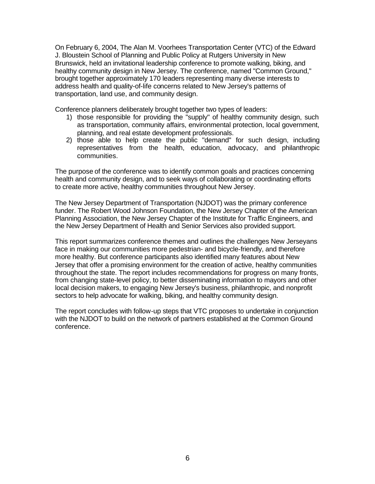On February 6, 2004, The Alan M. Voorhees Transportation Center (VTC) of the Edward J. Bloustein School of Planning and Public Policy at Rutgers University in New Brunswick, held an invitational leadership conference to promote walking, biking, and healthy community design in New Jersey. The conference, named "Common Ground," brought together approximately 170 leaders representing many diverse interests to address health and quality-of-life concerns related to New Jersey's patterns of transportation, land use, and community design.

Conference planners deliberately brought together two types of leaders:

- 1) those responsible for providing the "supply" of healthy community design, such as transportation, community affairs, environmental protection, local government, planning, and real estate development professionals.
- 2) those able to help create the public "demand" for such design, including representatives from the health, education, advocacy, and philanthropic communities.

The purpose of the conference was to identify common goals and practices concerning health and community design, and to seek ways of collaborating or coordinating efforts to create more active, healthy communities throughout New Jersey.

The New Jersey Department of Transportation (NJDOT) was the primary conference funder. The Robert Wood Johnson Foundation, the New Jersey Chapter of the American Planning Association, the New Jersey Chapter of the Institute for Traffic Engineers, and the New Jersey Department of Health and Senior Services also provided support.

This report summarizes conference themes and outlines the challenges New Jerseyans face in making our communities more pedestrian- and bicycle-friendly, and therefore more healthy. But conference participants also identified many features about New Jersey that offer a promising environment for the creation of active, healthy communities throughout the state. The report includes recommendations for progress on many fronts, from changing state-level policy, to better disseminating information to mayors and other local decision makers, to engaging New Jersey's business, philanthropic, and nonprofit sectors to help advocate for walking, biking, and healthy community design.

The report concludes with follow-up steps that VTC proposes to undertake in conjunction with the NJDOT to build on the network of partners established at the Common Ground conference.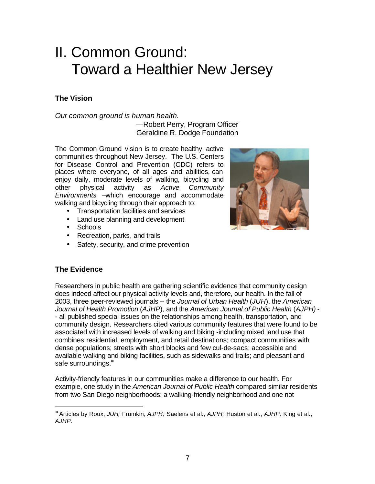### II. Common Ground: Toward a Healthier New Jersey

#### **The Vision**

*Our common ground is human health.*

—Robert Perry, Program Officer Geraldine R. Dodge Foundation

The Common Ground vision is to create healthy, active communities throughout New Jersey. The U.S. Centers for Disease Control and Prevention (CDC) refers to places where everyone, of all ages and abilities, can enjoy daily, moderate levels of walking, bicycling and other physical activity as *Active Community Environments –*which encourage and accommodate walking and bicycling through their approach to:

- Transportation facilities and services
- Land use planning and development
- Schools
- Recreation, parks, and trails
- Safety, security, and crime prevention



#### **The Evidence**

 $\overline{a}$ 

Researchers in public health are gathering scientific evidence that community design does indeed affect our physical activity levels and, therefore, our health. In the fall of 2003, three peer-reviewed journals -- the *Journal of Urban Health* (*JUH*), the *American Journal of Health Promotion* (*AJHP*), and the *American Journal of Public Health* (*AJPH)* - - all published special issues on the relationships among health, transportation, and community design. Researchers cited various community features that were found to be associated with increased levels of walking and biking -including mixed land use that combines residential, employment, and retail destinations; compact communities with dense populations; streets with short blocks and few cul-de-sacs; accessible and available walking and biking facilities, such as sidewalks and trails; and pleasant and safe surroundings.<sup>\*</sup>

Activity-friendly features in our communities make a difference to our health. For example, one study in the *American Journal of Public Health* compared similar residents from two San Diego neighborhoods: a walking-friendly neighborhood and one not

<sup>∗</sup> Articles by Roux, *JUH;* Frumkin, *AJPH;* Saelens et al., *AJPH;* Huston et al., *AJHP;* King et al., *AJHP.*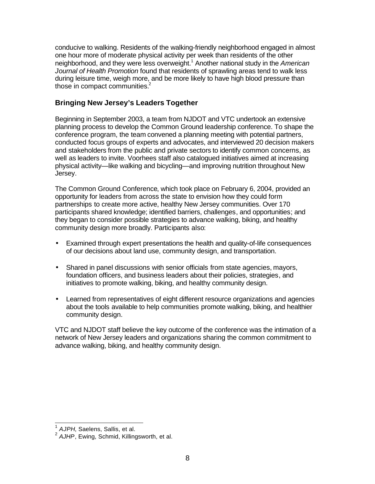conducive to walking. Residents of the walking-friendly neighborhood engaged in almost one hour more of moderate physical activity per week than residents of the other neighborhood, and they were less overweight.<sup>1</sup> Another national study in the *American Journal of Health Promotion* found that residents of sprawling areas tend to walk less during leisure time, weigh more, and be more likely to have high blood pressure than those in compact communities. $2$ 

#### **Bringing New Jersey's Leaders Together**

Beginning in September 2003, a team from NJDOT and VTC undertook an extensive planning process to develop the Common Ground leadership conference. To shape the conference program, the team convened a planning meeting with potential partners, conducted focus groups of experts and advocates, and interviewed 20 decision makers and stakeholders from the public and private sectors to identify common concerns, as well as leaders to invite. Voorhees staff also catalogued initiatives aimed at increasing physical activity—like walking and bicycling—and improving nutrition throughout New Jersey.

The Common Ground Conference, which took place on February 6, 2004, provided an opportunity for leaders from across the state to envision how they could form partnerships to create more active, healthy New Jersey communities. Over 170 participants shared knowledge; identified barriers, challenges, and opportunities; and they began to consider possible strategies to advance walking, biking, and healthy community design more broadly. Participants also:

- Examined through expert presentations the health and quality-of-life consequences of our decisions about land use, community design, and transportation.
- Shared in panel discussions with senior officials from state agencies, mayors, foundation officers, and business leaders about their policies, strategies, and initiatives to promote walking, biking, and healthy community design.
- Learned from representatives of eight different resource organizations and agencies about the tools available to help communities promote walking, biking, and healthier community design.

VTC and NJDOT staff believe the key outcome of the conference was the intimation of a network of New Jersey leaders and organizations sharing the common commitment to advance walking, biking, and healthy community design.

 1 *AJPH*, Saelens, Sallis, et al.

<sup>2</sup> *AJHP*, Ewing, Schmid, Killingsworth, et al.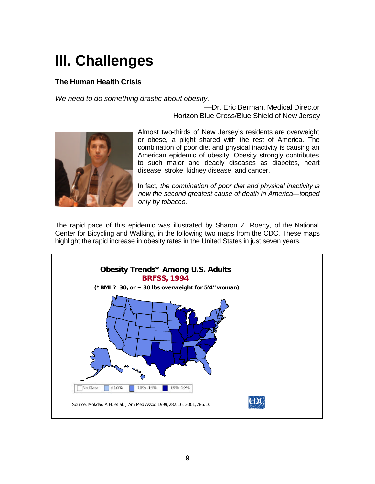# **III. Challenges**

#### **The Human Health Crisis**

*We need to do something drastic about obesity.*

—Dr. Eric Berman, Medical Director Horizon Blue Cross/Blue Shield of New Jersey



Almost two-thirds of New Jersey's residents are overweight or obese, a plight shared with the rest of America. The combination of poor diet and physical inactivity is causing an American epidemic of obesity. Obesity strongly contributes to such major and deadly diseases as diabetes, heart disease, stroke, kidney disease, and cancer.

In fact, *the combination of poor diet and physical inactivity is now the second greatest cause of death in America—topped only by tobacco.*

The rapid pace of this epidemic was illustrated by Sharon Z. Roerty, of the National Center for Bicycling and Walking, in the following two maps from the CDC. These maps highlight the rapid increase in obesity rates in the United States in just seven years.

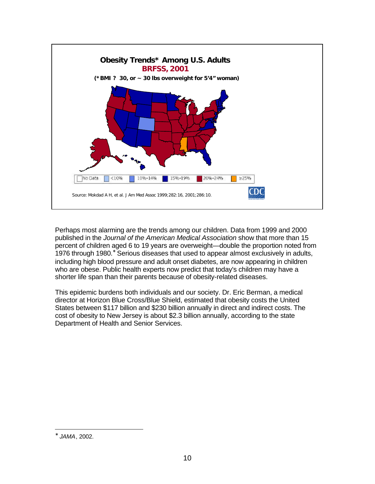

Perhaps most alarming are the trends among our children. Data from 1999 and 2000 published in the *Journal of the American Medical Association* show that more than 15 percent of children aged 6 to 19 years are overweight—double the proportion noted from 1976 through 1980.<sup>\*</sup> Serious diseases that used to appear almost exclusively in adults, including high blood pressure and adult onset diabetes, are now appearing in children who are obese. Public health experts now predict that today's children may have a shorter life span than their parents because of obesity-related diseases.

This epidemic burdens both individuals and our society. Dr. Eric Berman, a medical director at Horizon Blue Cross/Blue Shield, estimated that obesity costs the United States between \$117 billion and \$230 billion annually in direct and indirect costs. The cost of obesity to New Jersey is about \$2.3 billion annually, according to the state Department of Health and Senior Services.

∗ *JAMA*, 2002.

 $\overline{a}$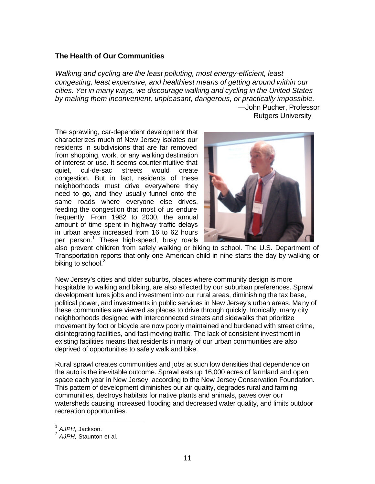#### **The Health of Our Communities**

*Walking and cycling are the least polluting, most energy-efficient, least congesting, least expensive, and healthiest means of getting around within our cities. Yet in many ways, we discourage walking and cycling in the United States by making them inconvenient, unpleasant, dangerous, or practically impossible.* —John Pucher, Professor

Rutgers University

The sprawling, car-dependent development that characterizes much of New Jersey isolates our residents in subdivisions that are far removed from shopping, work, or any walking destination of interest or use. It seems counterintuitive that quiet, cul-de-sac streets would create congestion. But in fact, residents of these neighborhoods must drive everywhere they need to go, and they usually funnel onto the same roads where everyone else drives, feeding the congestion that most of us endure frequently. From 1982 to 2000, the annual amount of time spent in highway traffic delays in urban areas increased from 16 to 62 hours per person.<sup>1</sup> These high-speed, busy roads



also prevent children from safely walking or biking to school. The U.S. Department of Transportation reports that only one American child in nine starts the day by walking or biking to school. $2$ 

New Jersey's cities and older suburbs, places where community design is more hospitable to walking and biking, are also affected by our suburban preferences. Sprawl development lures jobs and investment into our rural areas, diminishing the tax base, political power, and investments in public services in New Jersey's urban areas. Many of these communities are viewed as places to drive through quickly. Ironically, many city neighborhoods designed with interconnected streets and sidewalks that prioritize movement by foot or bicycle are now poorly maintained and burdened with street crime, disintegrating facilities, and fast-moving traffic. The lack of consistent investment in existing facilities means that residents in many of our urban communities are also deprived of opportunities to safely walk and bike.

Rural sprawl creates communities and jobs at such low densities that dependence on the auto is the inevitable outcome. Sprawl eats up 16,000 acres of farmland and open space each year in New Jersey, according to the New Jersey Conservation Foundation. This pattern of development diminishes our air quality, degrades rural and farming communities, destroys habitats for native plants and animals, paves over our watersheds causing increased flooding and decreased water quality, and limits outdoor recreation opportunities.

 1 *AJPH,* Jackson.

<sup>2</sup> *AJPH,* Staunton et al.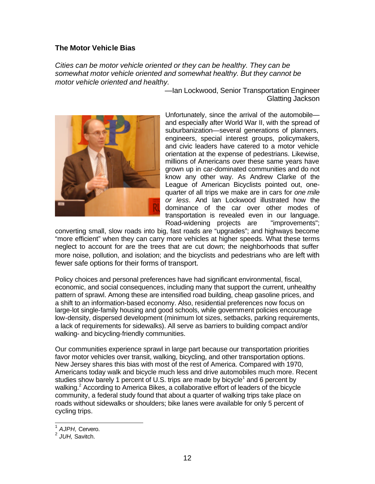#### **The Motor Vehicle Bias**

*Cities can be motor vehicle oriented or they can be healthy. They can be somewhat motor vehicle oriented and somewhat healthy. But they cannot be motor vehicle oriented and healthy.*



—Ian Lockwood, Senior Transportation Engineer Glatting Jackson

Unfortunately, since the arrival of the automobile and especially after World War II, with the spread of suburbanization—several generations of planners, engineers, special interest groups, policymakers, and civic leaders have catered to a motor vehicle orientation at the expense of pedestrians. Likewise, millions of Americans over these same years have grown up in car-dominated communities and do not know any other way. As Andrew Clarke of the League of American Bicyclists pointed out, onequarter of all trips we make are in cars for *one mile or less*. And Ian Lockwood illustrated how the dominance of the car over other modes of transportation is revealed even in our language. Road-widening projects are "improvements";

converting small, slow roads into big, fast roads are "upgrades"; and highways become "more efficient" when they can carry more vehicles at higher speeds. What these terms neglect to account for are the trees that are cut down; the neighborhoods that suffer more noise, pollution, and isolation; and the bicyclists and pedestrians who are left with fewer safe options for their forms of transport.

Policy choices and personal preferences have had significant environmental, fiscal, economic, and social consequences, including many that support the current, unhealthy pattern of sprawl. Among these are intensified road building, cheap gasoline prices, and a shift to an information-based economy. Also, residential preferences now focus on large-lot single-family housing and good schools, while government policies encourage low-density, dispersed development (minimum lot sizes, setbacks, parking requirements, a lack of requirements for sidewalks). All serve as barriers to building compact and/or walking- and bicycling-friendly communities.

Our communities experience sprawl in large part because our transportation priorities favor motor vehicles over transit, walking, bicycling, and other transportation options. New Jersey shares this bias with most of the rest of America. Compared with 1970, Americans today walk and bicycle much less and drive automobiles much more. Recent studies show barely 1 percent of U.S. trips are made by bicycle<sup>1</sup> and 6 percent by walking. $<sup>2</sup>$  According to America Bikes, a collaborative effort of leaders of the bicycle</sup> community, a federal study found that about a quarter of walking trips take place on roads without sidewalks or shoulders; bike lanes were available for only 5 percent of cycling trips.

 $\overline{\phantom{a}}$ 

<sup>1</sup> *AJPH,* Cervero.

<sup>2</sup> *JUH,* Savitch.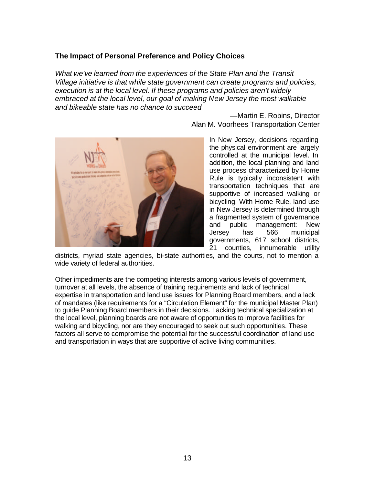#### **The Impact of Personal Preference and Policy Choices**

*What we've learned from the experiences of the State Plan and the Transit Village initiative is that while state government can create programs and policies, execution is at the local level. If these programs and policies aren't widely embraced at the local level, our goal of making New Jersey the most walkable and bikeable state has no chance to succeed*

> —Martin E. Robins, Director Alan M. Voorhees Transportation Center



In New Jersey, decisions regarding the physical environment are largely controlled at the municipal level. In addition, the local planning and land use process characterized by Home Rule is typically inconsistent with transportation techniques that are supportive of increased walking or bicycling. With Home Rule, land use in New Jersey is determined through a fragmented system of governance and public management: New Jersey has 566 municipal governments, 617 school districts, 21 counties, innumerable utility

districts, myriad state agencies, bi-state authorities, and the courts, not to mention a wide variety of federal authorities.

Other impediments are the competing interests among various levels of government, turnover at all levels, the absence of training requirements and lack of technical expertise in transportation and land use issues for Planning Board members, and a lack of mandates (like requirements for a "Circulation Element" for the municipal Master Plan) to guide Planning Board members in their decisions. Lacking technical specialization at the local level, planning boards are not aware of opportunities to improve facilities for walking and bicycling, nor are they encouraged to seek out such opportunities. These factors all serve to compromise the potential for the successful coordination of land use and transportation in ways that are supportive of active living communities.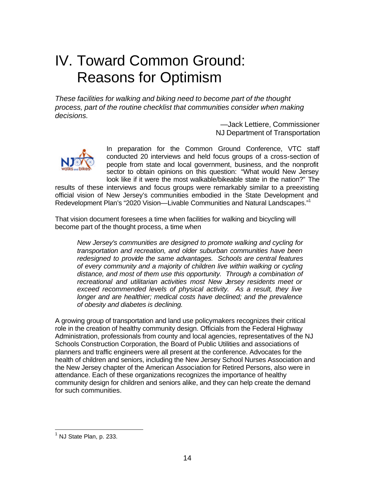### IV. Toward Common Ground: Reasons for Optimism

*These facilities for walking and biking need to become part of the thought process, part of the routine checklist that communities consider when making decisions.*

> —Jack Lettiere, Commissioner NJ Department of Transportation



In preparation for the Common Ground Conference, VTC staff conducted 20 interviews and held focus groups of a cross-section of people from state and local government, business, and the nonprofit sector to obtain opinions on this question: "What would New Jersey look like if it were the most walkable/bikeable state in the nation?" The

results of these interviews and focus groups were remarkably similar to a preexisting official vision of New Jersey's communities embodied in the State Development and Redevelopment Plan's "2020 Vision—Livable Communities and Natural Landscapes."<sup>1</sup>

That vision document foresees a time when facilities for walking and bicycling will become part of the thought process, a time when

*New Jersey's communities are designed to promote walking and cycling for transportation and recreation, and older suburban communities have been redesigned to provide the same advantages. Schools are central features of every community and a majority of children live within walking or cycling distance, and most of them use this opportunity. Through a combination of recreational and utilitarian activities most New Jersey residents meet or exceed recommended levels of physical activity. As a result, they live longer and are healthier; medical costs have declined; and the prevalence of obesity and diabetes is declining.*

A growing group of transportation and land use policymakers recognizes their critical role in the creation of healthy community design. Officials from the Federal Highway Administration, professionals from county and local agencies, representatives of the NJ Schools Construction Corporation, the Board of Public Utilities and associations of planners and traffic engineers were all present at the conference. Advocates for the health of children and seniors, including the New Jersey School Nurses Association and the New Jersey chapter of the American Association for Retired Persons, also were in attendance. Each of these organizations recognizes the importance of healthy community design for children and seniors alike, and they can help create the demand for such communities.

 $\overline{a}$ 

 $<sup>1</sup>$  NJ State Plan, p. 233.</sup>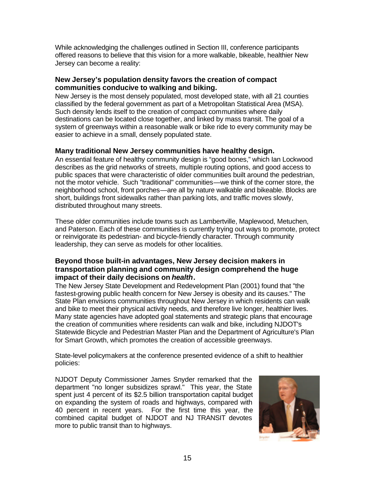While acknowledging the challenges outlined in Section III, conference participants offered reasons to believe that this vision for a more walkable, bikeable, healthier New Jersey can become a reality:

#### **New Jersey's population density favors the creation of compact communities conducive to walking and biking.**

New Jersey is the most densely populated, most developed state, with all 21 counties classified by the federal government as part of a Metropolitan Statistical Area (MSA). Such density lends itself to the creation of compact communities where daily destinations can be located close together, and linked by mass transit. The goal of a system of greenways within a reasonable walk or bike ride to every community may be easier to achieve in a small, densely populated state.

#### **Many traditional New Jersey communities have healthy design.**

An essential feature of healthy community design is "good bones," which Ian Lockwood describes as the grid networks of streets, multiple routing options, and good access to public spaces that were characteristic of older communities built around the pedestrian, not the motor vehicle. Such "traditional" communities—we think of the corner store, the neighborhood school, front porches—are all by nature walkable and bikeable. Blocks are short, buildings front sidewalks rather than parking lots, and traffic moves slowly, distributed throughout many streets.

These older communities include towns such as Lambertville, Maplewood, Metuchen, and Paterson. Each of these communities is currently trying out ways to promote, protect or reinvigorate its pedestrian- and bicycle-friendly character. Through community leadership, they can serve as models for other localities.

#### **Beyond those built-in advantages, New Jersey decision makers in transportation planning and community design comprehend the huge impact of their daily decisions on** *health***.**

The New Jersey State Development and Redevelopment Plan (2001) found that "the fastest-growing public health concern for New Jersey is obesity and its causes." The State Plan envisions communities throughout New Jersey in which residents can walk and bike to meet their physical activity needs, and therefore live longer, healthier lives. Many state agencies have adopted goal statements and strategic plans that encourage the creation of communities where residents can walk and bike, including NJDOT's Statewide Bicycle and Pedestrian Master Plan and the Department of Agriculture's Plan for Smart Growth, which promotes the creation of accessible greenways.

State-level policymakers at the conference presented evidence of a shift to healthier policies:

NJDOT Deputy Commissioner James Snyder remarked that the department "no longer subsidizes sprawl." This year, the State spent just 4 percent of its \$2.5 billion transportation capital budget on expanding the system of roads and highways, compared with 40 percent in recent years. For the first time this year, the combined capital budget of NJDOT and NJ TRANSIT devotes more to public transit than to highways.

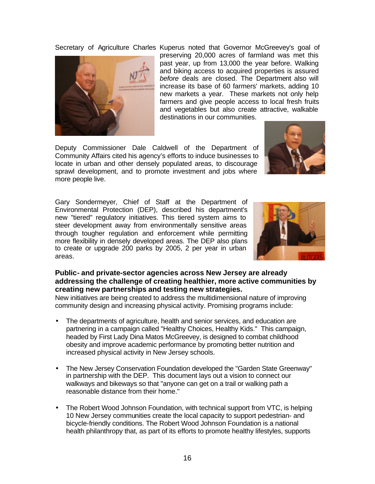

Secretary of Agriculture Charles Kuperus noted that Governor McGreevey's goal of preserving 20,000 acres of farmland was met this past year, up from 13,000 the year before. Walking and biking access to acquired properties is assured *before* deals are closed. The Department also will increase its base of 60 farmers' markets, adding 10 new markets a year. These markets not only help farmers and give people access to local fresh fruits and vegetables but also create attractive, walkable destinations in our communities.

Deputy Commissioner Dale Caldwell of the Department of Community Affairs cited his agency's efforts to induce businesses to locate in urban and other densely populated areas, to discourage sprawl development, and to promote investment and jobs where more people live.

Gary Sondermeyer, Chief of Staff at the Department of Environmental Protection (DEP), described his department's new "tiered" regulatory initiatives. This tiered system aims to steer development away from environmentally sensitive areas through tougher regulation and enforcement while permitting more flexibility in densely developed areas. The DEP also plans to create or upgrade 200 parks by 2005, 2 per year in urban areas.



#### **Public- and private-sector agencies across New Jersey are already addressing the challenge of creating healthier, more active communities by creating new partnerships and testing new strategies.**

New initiatives are being created to address the multidimensional nature of improving community design and increasing physical activity. Promising programs include:

- The departments of agriculture, health and senior services, and education are partnering in a campaign called "Healthy Choices, Healthy Kids." This campaign, headed by First Lady Dina Matos McGreevey, is designed to combat childhood obesity and improve academic performance by promoting better nutrition and increased physical activity in New Jersey schools.
- The New Jersey Conservation Foundation developed the "Garden State Greenway" in partnership with the DEP. This document lays out a vision to connect our walkways and bikeways so that "anyone can get on a trail or walking path a reasonable distance from their home."
- The Robert Wood Johnson Foundation, with technical support from VTC, is helping 10 New Jersey communities create the local capacity to support pedestrian- and bicycle-friendly conditions. The Robert Wood Johnson Foundation is a national health philanthropy that, as part of its efforts to promote healthy lifestyles, supports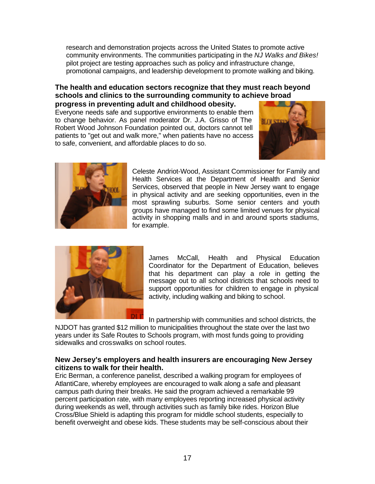research and demonstration projects across the United States to promote active community environments. The communities participating in the *NJ Walks and Bikes!* pilot project are testing approaches such as policy and infrastructure change, promotional campaigns, and leadership development to promote walking and biking.

#### **The health and education sectors recognize that they must reach beyond schools and clinics to the surrounding community to achieve broad progress in preventing adult and childhood obesity.**

Everyone needs safe and supportive environments to enable them to change behavior. As panel moderator Dr. J.A. Grisso of The Robert Wood Johnson Foundation pointed out, doctors cannot tell patients to "get out and walk more," when patients have no access to safe, convenient, and affordable places to do so.





Celeste Andriot-Wood, Assistant Commissioner for Family and Health Services at the Department of Health and Senior Services, observed that people in New Jersey want to engage in physical activity and are seeking opportunities, even in the most sprawling suburbs. Some senior centers and youth groups have managed to find some limited venues for physical activity in shopping malls and in and around sports stadiums, for example.



James McCall, Health and Physical Education Coordinator for the Department of Education, believes that his department can play a role in getting the message out to all school districts that schools need to support opportunities for children to engage in physical activity, including walking and biking to school.

In partnership with communities and school districts, the

NJDOT has granted \$12 million to municipalities throughout the state over the last two years under its Safe Routes to Schools program, with most funds going to providing sidewalks and crosswalks on school routes.

#### **New Jersey's employers and health insurers are encouraging New Jersey citizens to walk for their health.**

Eric Berman, a conference panelist, described a walking program for employees of AtlantiCare, whereby employees are encouraged to walk along a safe and pleasant campus path during their breaks. He said the program achieved a remarkable 99 percent participation rate, with many employees reporting increased physical activity during weekends as well, through activities such as family bike rides. Horizon Blue Cross/Blue Shield is adapting this program for middle school students, especially to benefit overweight and obese kids. These students may be self-conscious about their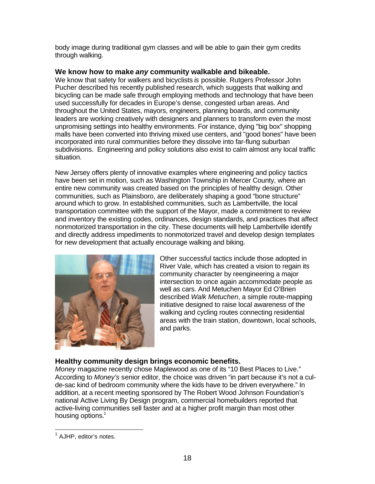body image during traditional gym classes and will be able to gain their gym credits through walking.

#### **We know how to make** *any* **community walkable and bikeable.**

We know that safety for walkers and bicyclists *is* possible. Rutgers Professor John Pucher described his recently published research, which suggests that walking and bicycling can be made safe through employing methods and technology that have been used successfully for decades in Europe's dense, congested urban areas. And throughout the United States, mayors, engineers, planning boards, and community leaders are working creatively with designers and planners to transform even the most unpromising settings into healthy environments. For instance, dying "big box" shopping malls have been converted into thriving mixed use centers, and "good bones" have been incorporated into rural communities before they dissolve into far-flung suburban subdivisions. Engineering and policy solutions also exist to calm almost any local traffic situation.

New Jersey offers plenty of innovative examples where engineering and policy tactics have been set in motion, such as Washington Township in Mercer County, where an entire new community was created based on the principles of healthy design. Other communities, such as Plainsboro, are deliberately shaping a good "bone structure" around which to grow. In established communities, such as Lambertville, the local transportation committee with the support of the Mayor, made a commitment to review and inventory the existing codes, ordinances, design standards, and practices that affect nonmotorized transportation in the city. These documents will help Lambertville identify and directly address impediments to nonmotorized travel and develop design templates for new development that actually encourage walking and biking.



Other successful tactics include those adopted in River Vale, which has created a vision to regain its community character by reengineering a major intersection to once again accommodate people as well as cars. And Metuchen Mayor Ed O'Brien described *Walk Metuchen*, a simple route-mapping initiative designed to raise local awareness of the walking and cycling routes connecting residential areas with the train station, downtown, local schools, and parks.

#### **Healthy community design brings economic benefits.**

*Money* magazine recently chose Maplewood as one of its "10 Best Places to Live." According to *Money's* senior editor, the choice was driven "in part because it's not a culde-sac kind of bedroom community where the kids have to be driven everywhere." In addition, at a recent meeting sponsored by The Robert Wood Johnson Foundation's national Active Living By Design program, commercial homebuilders reported that active-living communities sell faster and at a higher profit margin than most other housing options.<sup>1</sup>

 $\overline{a}$ <sup>1</sup> AJHP, editor's notes.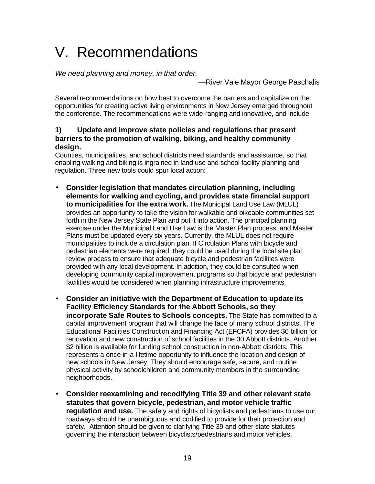# V. Recommendations

*We need planning and money, in that order.*

—River Vale Mayor George Paschalis

Several recommendations on how best to overcome the barriers and capitalize on the opportunities for creating active living environments in New Jersey emerged throughout the conference. The recommendations were wide-ranging and innovative, and include:

#### **1) Update and improve state policies and regulations that present barriers to the promotion of walking, biking, and healthy community design.**

Counties, municipalities, and school districts need standards and assistance, so that enabling walking and biking is ingrained in land use and school facility planning and regulation. Three new tools could spur local action:

- **Consider legislation that mandates circulation planning, including elements for walking and cycling, and provides state financial support to municipalities for the extra work.** The Municipal Land Use Law (MLUL) provides an opportunity to take the vision for walkable and bikeable communities set forth in the New Jersey State Plan and put it into action. The principal planning exercise under the Municipal Land Use Law is the Master Plan process, and Master Plans must be updated every six years. Currently, the MLUL does not require municipalities to include a circulation plan. If Circulation Plans with bicycle and pedestrian elements were required, they could be used during the local site plan review process to ensure that adequate bicycle and pedestrian facilities were provided with any local development. In addition, they could be consulted when developing community capital improvement programs so that bicycle and pedestrian facilities would be considered when planning infrastructure improvements.
- **Consider an initiative with the Department of Education to update its Facility Efficiency Standards for the Abbott Schools, so they incorporate Safe Routes to Schools concepts.** The State has committed to a capital improvement program that will change the face of many school districts. The Educational Facilities Construction and Financing Act (EFCFA) provides \$6 billion for renovation and new construction of school facilities in the 30 Abbott districts. Another \$2 billion is available for funding school construction in non-Abbott districts. This represents a once-in-a-lifetime opportunity to influence the location and design of new schools in New Jersey. They should encourage safe, secure, and routine physical activity by schoolchildren and community members in the surrounding neighborhoods.
- **Consider reexamining and recodifying Title 39 and other relevant state statutes that govern bicycle, pedestrian, and motor vehicle traffic regulation and use.** The safety and rights of bicyclists and pedestrians to use our roadways should be unambiguous and codified to provide for their protection and safety. Attention should be given to clarifying Title 39 and other state statutes governing the interaction between bicyclists/pedestrians and motor vehicles.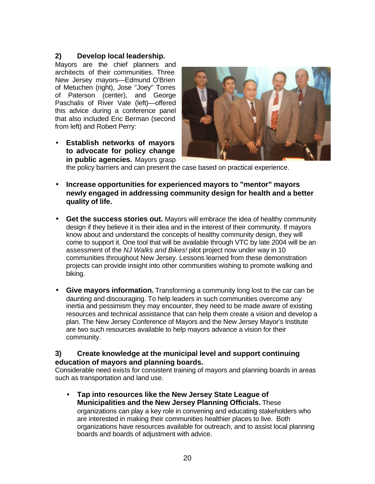#### **2) Develop local leadership.**

Mayors are the chief planners and architects of their communities. Three New Jersey mayors—Edmund O'Brien of Metuchen (right), Jose "Joey" Torres of Paterson (center), and George Paschalis of River Vale (left)—offered this advice during a conference panel that also included Eric Berman (second from left) and Robert Perry:

• **Establish networks of mayors to advocate for policy change in public agencies.** Mayors grasp



the policy barriers and can present the case based on practical experience.

- **Increase opportunities for experienced mayors to "mentor" mayors newly engaged in addressing community design for health and a better quality of life.**
- **Get the success stories out.** Mayors will embrace the idea of healthy community design if they believe it is their idea and in the interest of their community. If mayors know about and understand the concepts of healthy community design, they will come to support it. One tool that will be available through VTC by late 2004 will be an assessment of the *NJ Walks and Bikes!* pilot project now under way in 10 communities throughout New Jersey. Lessons learned from these demonstration projects can provide insight into other communities wishing to promote walking and biking.
- **Give mayors information.** Transforming a community long lost to the car can be daunting and discouraging. To help leaders in such communities overcome any inertia and pessimism they may encounter, they need to be made aware of existing resources and technical assistance that can help them create a vision and develop a plan. The New Jersey Conference of Mayors and the New Jersey Mayor's Institute are two such resources available to help mayors advance a vision for their community.

#### **3) Create knowledge at the municipal level and support continuing education of mayors and planning boards.**

Considerable need exists for consistent training of mayors and planning boards in areas such as transportation and land use.

• **Tap into resources like the New Jersey State League of Municipalities and the New Jersey Planning Officials.** These organizations can play a key role in convening and educating stakeholders who are interested in making their communities healthier places to live. Both organizations have resources available for outreach, and to assist local planning boards and boards of adjustment with advice.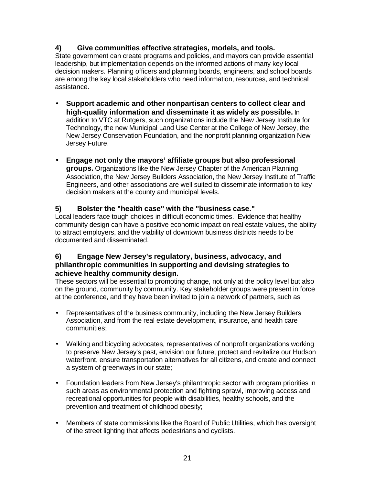#### **4) Give communities effective strategies, models, and tools.**

State government can create programs and policies, and mayors can provide essential leadership, but implementation depends on the informed actions of many key local decision makers. Planning officers and planning boards, engineers, and school boards are among the key local stakeholders who need information, resources, and technical assistance.

- **Support academic and other nonpartisan centers to collect clear and high-quality information and disseminate it as widely as possible.** In addition to VTC at Rutgers, such organizations include the New Jersey Institute for Technology, the new Municipal Land Use Center at the College of New Jersey, the New Jersey Conservation Foundation, and the nonprofit planning organization New Jersey Future.
- **Engage not only the mayors' affiliate groups but also professional groups.** Organizations like the New Jersey Chapter of the American Planning Association, the New Jersey Builders Association, the New Jersey Institute of Traffic Engineers, and other associations are well suited to disseminate information to key decision makers at the county and municipal levels.

#### **5) Bolster the "health case" with the "business case."**

Local leaders face tough choices in difficult economic times. Evidence that healthy community design can have a positive economic impact on real estate values, the ability to attract employers, and the viability of downtown business districts needs to be documented and disseminated.

#### **6) Engage New Jersey's regulatory, business, advocacy, and philanthropic communities in supporting and devising strategies to achieve healthy community design.**

These sectors will be essential to promoting change, not only at the policy level but also on the ground, community by community. Key stakeholder groups were present in force at the conference, and they have been invited to join a network of partners, such as

- Representatives of the business community, including the New Jersey Builders Association, and from the real estate development, insurance, and health care communities;
- Walking and bicycling advocates, representatives of nonprofit organizations working to preserve New Jersey's past, envision our future, protect and revitalize our Hudson waterfront, ensure transportation alternatives for all citizens, and create and connect a system of greenways in our state;
- Foundation leaders from New Jersey's philanthropic sector with program priorities in such areas as environmental protection and fighting sprawl, improving access and recreational opportunities for people with disabilities, healthy schools, and the prevention and treatment of childhood obesity;
- Members of state commissions like the Board of Public Utilities, which has oversight of the street lighting that affects pedestrians and cyclists.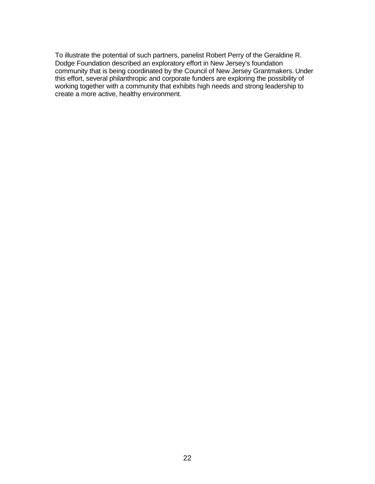To illustrate the potential of such partners, panelist Robert Perry of the Geraldine R. Dodge Foundation described an exploratory effort in New Jersey's foundation community that is being coordinated by the Council of New Jersey Grantmakers. Under this effort, several philanthropic and corporate funders are exploring the possibility of working together with a community that exhibits high needs and strong leadership to create a more active, healthy environment.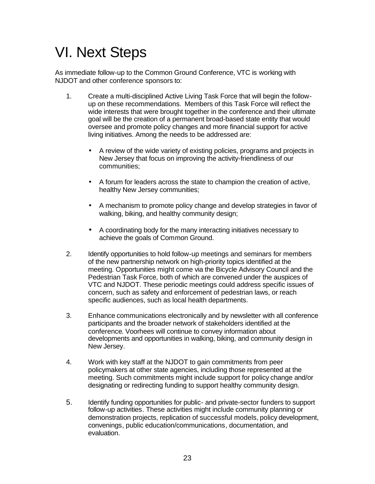## VI. Next Steps

As immediate follow-up to the Common Ground Conference, VTC is working with NJDOT and other conference sponsors to:

- 1. Create a multi-disciplined Active Living Task Force that will begin the followup on these recommendations. Members of this Task Force will reflect the wide interests that were brought together in the conference and their ultimate goal will be the creation of a permanent broad-based state entity that would oversee and promote policy changes and more financial support for active living initiatives. Among the needs to be addressed are:
	- A review of the wide variety of existing policies, programs and projects in New Jersey that focus on improving the activity-friendliness of our communities;
	- A forum for leaders across the state to champion the creation of active, healthy New Jersey communities;
	- A mechanism to promote policy change and develop strategies in favor of walking, biking, and healthy community design;
	- A coordinating body for the many interacting initiatives necessary to achieve the goals of Common Ground.
- 2. Identify opportunities to hold follow-up meetings and seminars for members of the new partnership network on high-priority topics identified at the meeting. Opportunities might come via the Bicycle Advisory Council and the Pedestrian Task Force, both of which are convened under the auspices of VTC and NJDOT. These periodic meetings could address specific issues of concern, such as safety and enforcement of pedestrian laws, or reach specific audiences, such as local health departments.
- 3. Enhance communications electronically and by newsletter with all conference participants and the broader network of stakeholders identified at the conference. Voorhees will continue to convey information about developments and opportunities in walking, biking, and community design in New Jersey.
- 4. Work with key staff at the NJDOT to gain commitments from peer policymakers at other state agencies, including those represented at the meeting. Such commitments might include support for policy change and/or designating or redirecting funding to support healthy community design.
- 5. Identify funding opportunities for public- and private-sector funders to support follow-up activities. These activities might include community planning or demonstration projects, replication of successful models, policy development, convenings, public education/communications, documentation, and evaluation.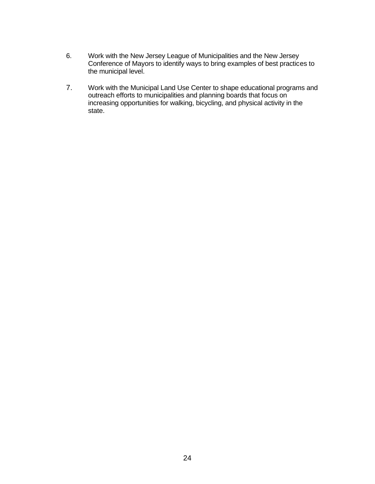- 6. Work with the New Jersey League of Municipalities and the New Jersey Conference of Mayors to identify ways to bring examples of best practices to the municipal level.
- 7. Work with the Municipal Land Use Center to shape educational programs and outreach efforts to municipalities and planning boards that focus on increasing opportunities for walking, bicycling, and physical activity in the state.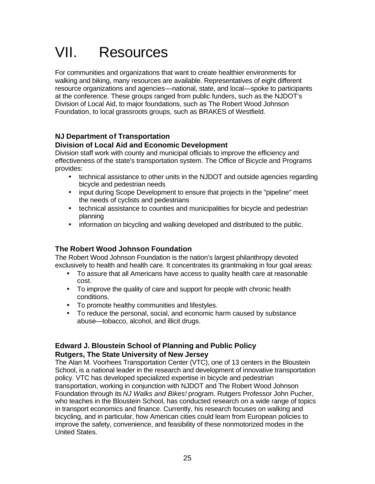# VII. Resources

For communities and organizations that want to create healthier environments for walking and biking, many resources are available. Representatives of eight different resource organizations and agencies—national, state, and local—spoke to participants at the conference. These groups ranged from public funders, such as the NJDOT's Division of Local Aid, to major foundations, such as The Robert Wood Johnson Foundation, to local grassroots groups, such as BRAKES of Westfield.

#### **NJ Department of Transportation**

#### **Division of Local Aid and Economic Development**

Division staff work with county and municipal officials to improve the efficiency and effectiveness of the state's transportation system. The Office of Bicycle and Programs provides:

- technical assistance to other units in the NJDOT and outside agencies regarding bicycle and pedestrian needs
- input during Scope Development to ensure that projects in the "pipeline" meet the needs of cyclists and pedestrians
- technical assistance to counties and municipalities for bicycle and pedestrian planning
- information on bicycling and walking developed and distributed to the public.

#### **The Robert Wood Johnson Foundation**

The Robert Wood Johnson Foundation is the nation's largest philanthropy devoted exclusively to health and health care. It concentrates its grantmaking in four goal areas:

- To assure that all Americans have access to quality health care at reasonable cost.
- To improve the quality of care and support for people with chronic health conditions.
- To promote healthy communities and lifestyles.
- To reduce the personal, social, and economic harm caused by substance abuse—tobacco, alcohol, and illicit drugs.

#### **Edward J. Bloustein School of Planning and Public Policy Rutgers, The State University of New Jersey**

The Alan M. Voorhees Transportation Center (VTC), one of 13 centers in the Bloustein School, is a national leader in the research and development of innovative transportation policy. VTC has developed specialized expertise in bicycle and pedestrian transportation, working in conjunction with NJDOT and The Robert Wood Johnson Foundation through its *NJ Walks and Bikes!* program. Rutgers Professor John Pucher, who teaches in the Bloustein School, has conducted research on a wide range of topics in transport economics and finance. Currently, his research focuses on walking and bicycling, and in particular, how American cities could learn from European policies to improve the safety, convenience, and feasibility of these nonmotorized modes in the United States.